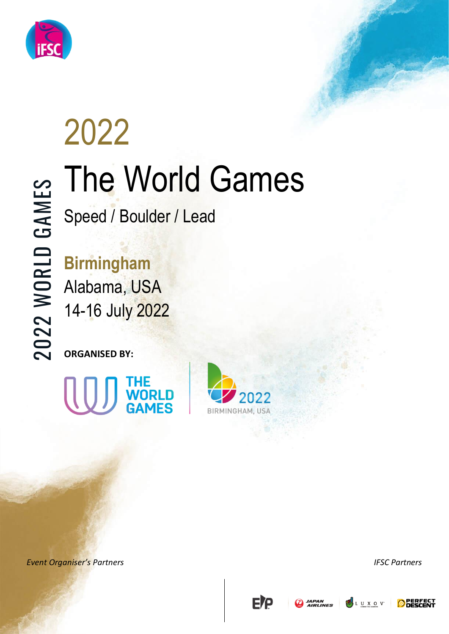

# **EVENT OF Speed / Boulder / Lead<br>
Event Organiser's Partners and Contains and Contains and Contains and Contains and Contains and Contains and Contains and Contains and Contains and Contains and Contains and Contains and C** 2022 The World Games

Speed / Boulder / Lead

**Birmingham** Alabama, USA

14-16 July 2022

**ORGANISED BY:**









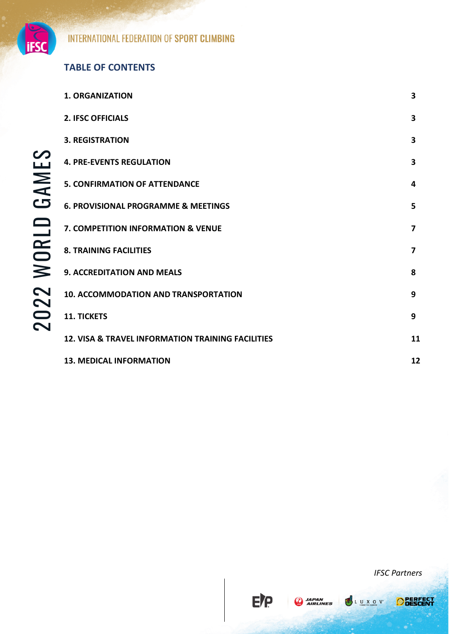

## 2022 WORLD GAMES 2022 WORLD GAMES

#### **TABLE OF CONTENTS**

| <b>2. IFSC OFFICIALS</b>                                     | 3  |
|--------------------------------------------------------------|----|
| <b>3. REGISTRATION</b>                                       | 3  |
| <b>4. PRE-EVENTS REGULATION</b>                              | 3  |
| <b>5. CONFIRMATION OF ATTENDANCE</b>                         | 4  |
| <b>6. PROVISIONAL PROGRAMME &amp; MEETINGS</b>               | 5  |
| <b>7. COMPETITION INFORMATION &amp; VENUE</b>                | 7  |
| <b>8. TRAINING FACILITIES</b>                                | 7  |
| 9. ACCREDITATION AND MEALS                                   | 8  |
| <b>10. ACCOMMODATION AND TRANSPORTATION</b>                  | 9  |
| <b>11. TICKETS</b>                                           | 9  |
| <b>12. VISA &amp; TRAVEL INFORMATION TRAINING FACILITIES</b> | 11 |
| <b>13. MEDICAL INFORMATION</b>                               | 12 |

**E/P** 

**A** JAPAN

**1. ORGANIZATION 3**



LUXOV

**O** PERFECT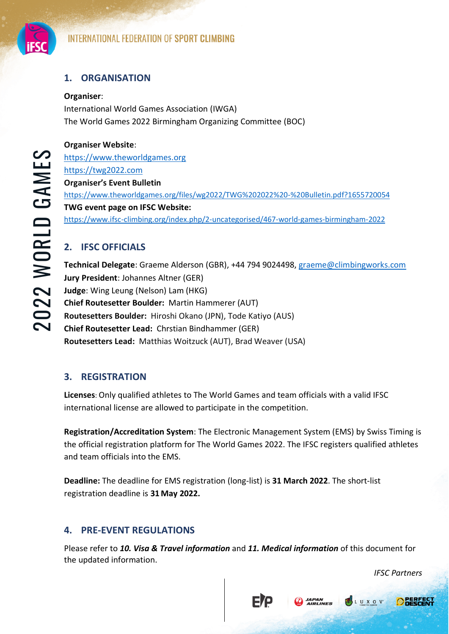

#### **1. ORGANISATION**

#### **Organiser**:

International World Games Association (IWGA) The World Games 2022 Birmingham Organizing Committee (BOC)

#### **Organiser Website**:

[https://www.theworldgames.org](https://www.theworldgames.org/) [https://twg2022.com](https://twg2022.com/) **Organiser's Event Bulletin**  <https://www.theworldgames.org/files/wg2022/TWG%202022%20-%20Bulletin.pdf?1655720054> **TWG event page on IFSC Website:**  <https://www.ifsc-climbing.org/index.php/2-uncategorised/467-world-games-birmingham-2022>

#### **2. IFSC OFFICIALS**

**Technical Delegate**: Graeme Alderson (GBR), +44 794 9024498, [graeme@climbingworks.com](mailto:graeme@climbingworks.com) **Jury President**: Johannes Altner (GER) **Judge**: Wing Leung (Nelson) Lam (HKG) **Chief Routesetter Boulder:** Martin Hammerer (AUT) **Routesetters Boulder:** Hiroshi Okano (JPN), Tode Katiyo (AUS) **Chief Routesetter Lead:** Chrstian Bindhammer (GER) **Routesetters Lead:** Matthias Woitzuck (AUT), Brad Weaver (USA)

#### **3. REGISTRATION**

**Licenses**: Only qualified athletes to The World Games and team officials with a valid IFSC international license are allowed to participate in the competition.

**Registration/Accreditation System**: The Electronic Management System (EMS) by Swiss Timing is the official registration platform for The World Games 2022. The IFSC registers qualified athletes and team officials into the EMS.

**Deadline:** The deadline for EMS registration (long-list) is **31 March 2022**. The short-list registration deadline is **31May 2022.** 

#### **4. PRE-EVENT REGULATIONS**

Please refer to *10. Visa & Travel information* and *11. Medical information* of this document for the updated information.

FIP

 *IFSC Partners*

**PSLUXOV** 

**O**RESCH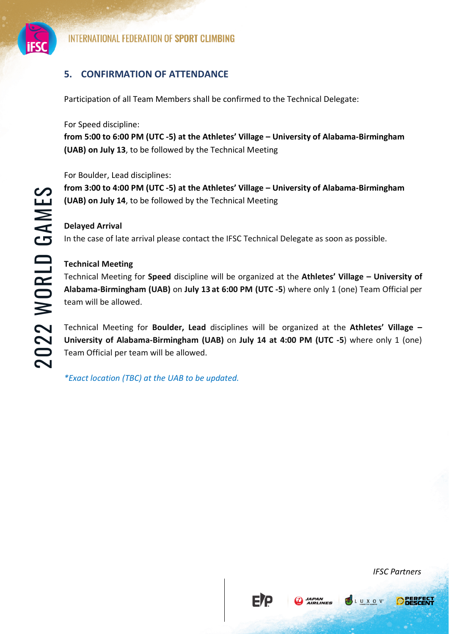

#### **5. CONFIRMATION OF ATTENDANCE**

Participation of all Team Members shall be confirmed to the Technical Delegate:

For Speed discipline:

**from 5:00 to 6:00 PM (UTC -5) at the Athletes' Village – University of Alabama-Birmingham (UAB) on July 13**, to be followed by the Technical Meeting

For Boulder, Lead disciplines:

**from 3:00 to 4:00 PM (UTC -5) at the Athletes' Village – University of Alabama-Birmingham (UAB) on July 14**, to be followed by the Technical Meeting

#### **Delayed Arrival**

In the case of late arrival please contact the IFSC Technical Delegate as soon as possible.

#### **Technical Meeting**

**Event Organizer Constrained Solution**<br> **Event Organizer Solution** and Article Solution of the Athletes' Village – University of Alabama-Birmingham<br> **Event Organizer Article Solution** in the case of late arrival please con Technical Meeting for **Speed** discipline will be organized at the **Athletes' Village – University of Alabama-Birmingham (UAB)** on **July 13 at 6:00 PM (UTC -5**) where only 1 (one) Team Official per team will be allowed.

Technical Meeting for **Boulder, Lead** disciplines will be organized at the **Athletes' Village – University of Alabama-Birmingham (UAB)** on **July 14 at 4:00 PM (UTC -5**) where only 1 (one) Team Official per team will be allowed.

FIP

**A** JAPAN

*\*Exact location (TBC) at the UAB to be updated.* 

**OBECH** 

LUXOV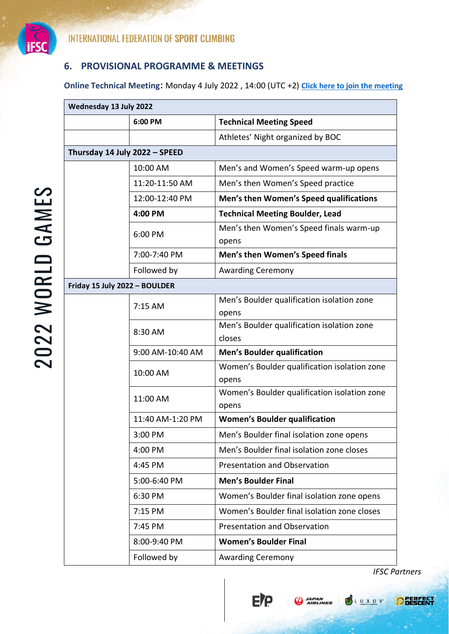

#### **6. PROVISIONAL PROGRAMME & MEETINGS**

**Online Technical Meeting:** Monday 4 July 2022 , 14:00 (UTC +2) **[Click here to join the meeting](https://teams.microsoft.com/l/meetup-join/19%3ameeting_ZGY1ZDIyYTMtM2M1YS00M2Y2LWE2ZWItOTM4MWQ4OThjNjM4%40thread.v2/0?context=%7b%22Tid%22%3a%223390a9a2-7775-4b2e-ac37-a47c9bd39a59%22%2c%22Oid%22%3a%22137ea9e4-1821-4b70-885c-72afd2fb5b36%22%7d)**

| 6:00 PM                       | <b>Technical Meeting Speed</b>                        |
|-------------------------------|-------------------------------------------------------|
|                               | Athletes' Night organized by BOC                      |
| Thursday 14 July 2022 - SPEED |                                                       |
| 10:00 AM                      | Men's and Women's Speed warm-up opens                 |
| 11:20-11:50 AM                | Men's then Women's Speed practice                     |
| 12:00-12:40 PM                | Men's then Women's Speed qualifications               |
| 4:00 PM                       | <b>Technical Meeting Boulder, Lead</b>                |
| 6:00 PM                       | Men's then Women's Speed finals warm-up<br>opens      |
| 7:00-7:40 PM                  | Men's then Women's Speed finals                       |
| Followed by                   | <b>Awarding Ceremony</b>                              |
| Friday 15 July 2022 - BOULDER |                                                       |
| 7:15 AM                       | Men's Boulder qualification isolation zone<br>opens   |
| 8:30 AM                       | Men's Boulder qualification isolation zone<br>closes  |
| 9:00 AM-10:40 AM              | <b>Men's Boulder qualification</b>                    |
| 10:00 AM                      | Women's Boulder qualification isolation zone<br>opens |
| 11:00 AM                      | Women's Boulder qualification isolation zone<br>opens |
| 11:40 AM-1:20 PM              | <b>Women's Boulder qualification</b>                  |
| 3:00 PM                       | Men's Boulder final isolation zone opens              |
| 4:00 PM                       | Men's Boulder final isolation zone closes             |
| 4:45 PM                       | <b>Presentation and Observation</b>                   |
| 5:00-6:40 PM                  | <b>Men's Boulder Final</b>                            |
| 6:30 PM                       | Women's Boulder final isolation zone opens            |
| 7:15 PM                       | Women's Boulder final isolation zone closes           |
| 7:45 PM                       | <b>Presentation and Observation</b>                   |
| 8:00-9:40 PM                  | <b>Women's Boulder Final</b>                          |
| Followed by                   | <b>Awarding Ceremony</b>                              |

E)<sub>b</sub>

**A**<br>AIRLINES

LUXOV.

**O** BEREEST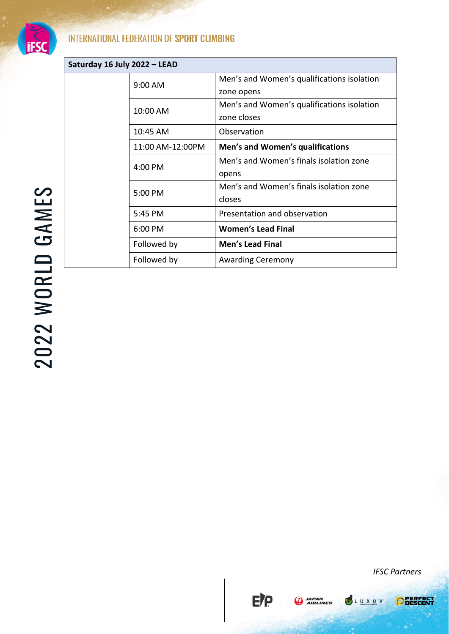

#### **INTERNATIONAL FEDERATION OF SPORT CLIMBING**

| Saturday 16 July 2022 - LEAD |                  |                                                           |
|------------------------------|------------------|-----------------------------------------------------------|
|                              | 9:00 AM          | Men's and Women's qualifications isolation<br>zone opens  |
|                              | 10:00 AM         | Men's and Women's qualifications isolation<br>zone closes |
|                              | 10:45 AM         | Observation                                               |
|                              | 11:00 AM-12:00PM | Men's and Women's qualifications                          |
|                              | 4:00 PM          | Men's and Women's finals isolation zone<br>opens          |
|                              | 5:00 PM          | Men's and Women's finals isolation zone<br>closes         |
|                              | 5:45 PM          | Presentation and observation                              |
|                              | 6:00 PM          | <b>Women's Lead Final</b>                                 |
|                              | Followed by      | <b>Men's Lead Final</b>                                   |
|                              | Followed by      | <b>Awarding Ceremony</b>                                  |
|                              |                  |                                                           |
|                              |                  |                                                           |
|                              |                  |                                                           |
|                              |                  |                                                           |
|                              |                  |                                                           |
|                              |                  |                                                           |

E/P

**A**<br>AIRLINES

L U X O V

**O** BESCENT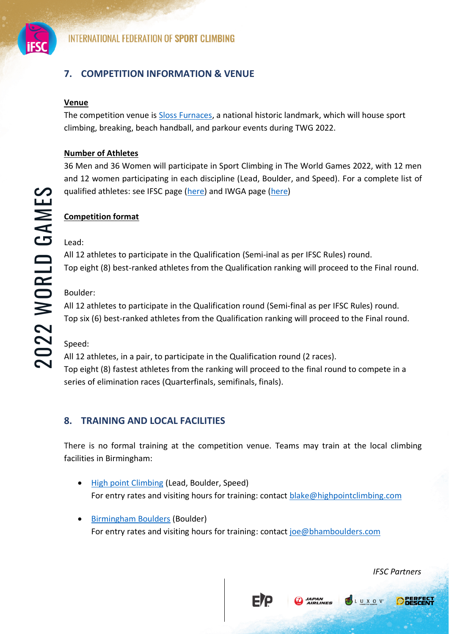

#### **7. COMPETITION INFORMATION & VENUE**

#### **Venue**

The competition venue is [Sloss Furnaces,](https://twg2022.com/venues/sloss/) a national historic landmark, which will house sport climbing, breaking, beach handball, and parkour events during TWG 2022.

#### **Number of Athletes**

36 Men and 36 Women will participate in Sport Climbing in The World Games 2022, with 12 men and 12 women participating in each discipline (Lead, Boulder, and Speed). For a complete list of qualified athletes: see IFSC page [\(here\)](https://www.theworldgames.org/editions/Birmingham-USA-13/qualifications) and IWGA page (here)

### **Competition format** Lead:

All 12 athletes to participate in the Qualification (Semi-inal as per IFSC Rules) round. Top eight (8) best-ranked athletes from the Qualification ranking will proceed to the Final round.

#### Boulder:

All 12 athletes to participate in the Qualification round (Semi-final as per IFSC Rules) round. Top six (6) best-ranked athletes from the Qualification ranking will proceed to the Final round.

Speed:

**Evention format**<br> **Evention format**<br> **Examples the State State Considered and WSA page (here)**<br> **Examples the Considered and WSA page (here)**<br> **Examples 12**<br> **Examples 2022**<br> **Examples 2022**<br> **Examples 2022**<br> **Examples 2** All 12 athletes, in a pair, to participate in the Qualification round (2 races). Top eight (8) fastest athletes from the ranking will proceed to the final round to compete in a series of elimination races (Quarterfinals, semifinals, finals).

#### **8. TRAINING AND LOCAL FACILITIES**

There is no formal training at the competition venue. Teams may train at the local climbing facilities in Birmingham:

• [High point Climbing](https://www.highpointclimbing.com/birmingham/birmingham-main) (Lead, Boulder, Speed) For entry rates and visiting hours for training: contact [blake@highpointclimbing.com](mailto:blake@highpointclimbing.com)

FIQ

JAPAN<br>AIRLINES

• [Birmingham Boulders](https://bhamboulders.com/) (Boulder) For entry rates and visiting hours for training: contact [joe@bhamboulders.com](mailto:joe@bhamboulders.com)

**OBECH** 

LUXOV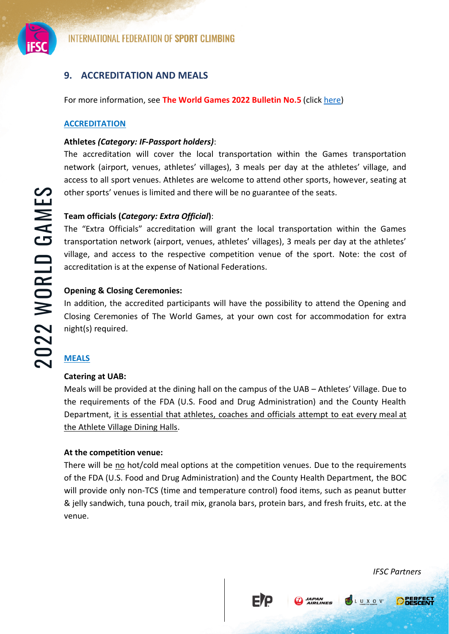

#### **9. ACCREDITATION AND MEALS**

For more information, see **The World Games 2022 Bulletin No.5** (click [here\)](https://www.theworldgames.org/files/wg2022/TWG%202022%20-%20Bulletin.pdf?1655720054)

#### **ACCREDITATION**

#### **Athletes** *(Category: IF-Passport holders)*:

The accreditation will cover the local transportation within the Games transportation network (airport, venues, athletes' villages), 3 meals per day at the athletes' village, and access to all sport venues. Athletes are welcome to attend other sports, however, seating at other sports' venues is limited and there will be no guarantee of the seats.

#### **Team officials (***Category: Extra Official***)**:

The "Extra Officials" accreditation will grant the local transportation within the Games transportation network (airport, venues, athletes' villages), 3 meals per day at the athletes' village, and access to the respective competition venue of the sport. Note: the cost of accreditation is at the expense of National Federations.

#### **Opening & Closing Ceremonies:**

In addition, the accredited participants will have the possibility to attend the Opening and Closing Ceremonies of The World Games, at your own cost for accommodation for extra night(s) required.

#### **MEALS**

#### **Catering at UAB:**

Meals will be provided at the dining hall on the campus of the UAB – Athletes' Village. Due to the requirements of the FDA (U.S. Food and Drug Administration) and the County Health Department, it is essential that athletes, coaches and officials attempt to eat every meal at the Athlete Village Dining Halls.

#### **At the competition venue:**

**Event Or The Conservation** of the ready to the states.<br> **Event Organiser's Partners in Summer Conservation** with a Games The "Extra Officials" accreditation will grant the local transportation within the Games<br> **Event Co** There will be no hot/cold meal options at the competition venues. Due to the requirements of the FDA (U.S. Food and Drug Administration) and the County Health Department, the BOC will provide only non-TCS (time and temperature control) food items, such as peanut butter & jelly sandwich, tuna pouch, trail mix, granola bars, protein bars, and fresh fruits, etc. at the venue.

FIP

**D** JAPAN

LUXOV<sup>.</sup>

**O** DERFECT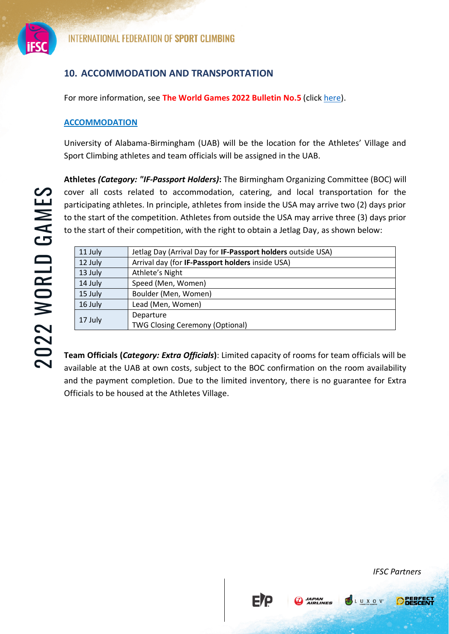

#### **10. ACCOMMODATION AND TRANSPORTATION**

For more information, see **The World Games 2022 Bulletin No.5** (click [here\)](https://www.theworldgames.org/files/wg2022/TWG%202022%20-%20Bulletin.pdf?1655720054).

#### **ACCOMMODATION**

University of Alabama-Birmingham (UAB) will be the location for the Athletes' Village and Sport Climbing athletes and team officials will be assigned in the UAB.

**Athletes** *(Category: "IF-Passport Holders)***:** The Birmingham Organizing Committee (BOC) will cover all costs related to accommodation, catering, and local transportation for the participating athletes. In principle, athletes from inside the USA may arrive two (2) days prior to the start of the competition. Athletes from outside the USA may arrive three (3) days prior to the start of their competition, with the right to obtain a Jetlag Day, as shown below:

| Arrival day (for IF-Passport holders inside USA)<br>12 July<br>Athlete's Night<br>13 July<br>14 July<br>Speed (Men, Women)<br>Boulder (Men, Women)<br>15 July<br>Lead (Men, Women)<br>16 July<br>Departure<br>17 July<br><b>TWG Closing Ceremony (Optional)</b><br>Team Officials (Category: Extra Officials): Limited capacity of rooms for team officials will be<br>available at the UAB at own costs, subject to the BOC confirmation on the room availability<br>and the payment completion. Due to the limited inventory, there is no guarantee for Extra<br>Officials to be housed at the Athletes Village. | 11 July | Jetlag Day (Arrival Day for IF-Passport holders outside USA) |
|--------------------------------------------------------------------------------------------------------------------------------------------------------------------------------------------------------------------------------------------------------------------------------------------------------------------------------------------------------------------------------------------------------------------------------------------------------------------------------------------------------------------------------------------------------------------------------------------------------------------|---------|--------------------------------------------------------------|
|                                                                                                                                                                                                                                                                                                                                                                                                                                                                                                                                                                                                                    |         |                                                              |
|                                                                                                                                                                                                                                                                                                                                                                                                                                                                                                                                                                                                                    |         |                                                              |
|                                                                                                                                                                                                                                                                                                                                                                                                                                                                                                                                                                                                                    |         |                                                              |
|                                                                                                                                                                                                                                                                                                                                                                                                                                                                                                                                                                                                                    |         |                                                              |
|                                                                                                                                                                                                                                                                                                                                                                                                                                                                                                                                                                                                                    |         |                                                              |
|                                                                                                                                                                                                                                                                                                                                                                                                                                                                                                                                                                                                                    |         |                                                              |
|                                                                                                                                                                                                                                                                                                                                                                                                                                                                                                                                                                                                                    |         |                                                              |
|                                                                                                                                                                                                                                                                                                                                                                                                                                                                                                                                                                                                                    |         |                                                              |
|                                                                                                                                                                                                                                                                                                                                                                                                                                                                                                                                                                                                                    |         |                                                              |
|                                                                                                                                                                                                                                                                                                                                                                                                                                                                                                                                                                                                                    |         |                                                              |
|                                                                                                                                                                                                                                                                                                                                                                                                                                                                                                                                                                                                                    |         |                                                              |
|                                                                                                                                                                                                                                                                                                                                                                                                                                                                                                                                                                                                                    |         |                                                              |
|                                                                                                                                                                                                                                                                                                                                                                                                                                                                                                                                                                                                                    |         |                                                              |
|                                                                                                                                                                                                                                                                                                                                                                                                                                                                                                                                                                                                                    |         |                                                              |
|                                                                                                                                                                                                                                                                                                                                                                                                                                                                                                                                                                                                                    |         |                                                              |
|                                                                                                                                                                                                                                                                                                                                                                                                                                                                                                                                                                                                                    |         |                                                              |
|                                                                                                                                                                                                                                                                                                                                                                                                                                                                                                                                                                                                                    |         |                                                              |

**ETP** 

**A** JAPAN



**PSLUXOV** 

**OBERFEG**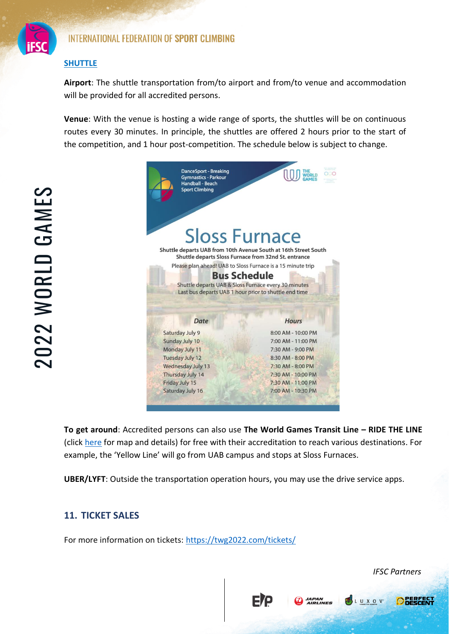

#### INTERNATIONAL FEDERATION OF SPORT CLIMBING

#### **SHUTTLE**

**Airport**: The shuttle transportation from/to airport and from/to venue and accommodation will be provided for all accredited persons.

**Venue**: With the venue is hosting a wide range of sports, the shuttles will be on continuous routes every 30 minutes. In principle, the shuttles are offered 2 hours prior to the start of the competition, and 1 hour post-competition. The schedule below is subject to change.



**To get around**: Accredited persons can also use **The World Games Transit Line – RIDE THE LINE** (click [here](https://twg2022.com/ride/#1653319779153-e14fd1ab-5ca0) for map and details) for free with their accreditation to reach various destinations. For example, the 'Yellow Line' will go from UAB campus and stops at Sloss Furnaces.

**ETP** 

*JAPAN<br>AIRLINES* 

**UBER/LYFT**: Outside the transportation operation hours, you may use the drive service apps.

#### **11. TICKET SALES**

For more information on tickets:<https://twg2022.com/tickets/>

**PSLUXOV** 

**O** BERFECT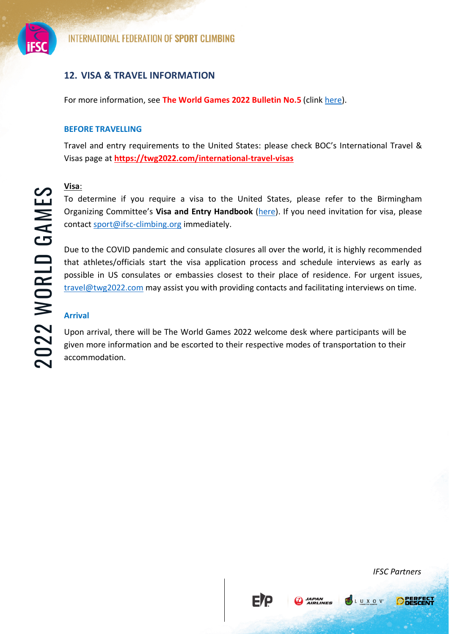

#### **12. VISA & TRAVEL INFORMATION**

For more information, see **The World Games 2022 Bulletin No.5** (clin[k here\)](https://www.theworldgames.org/files/wg2022/TWG%202022%20-%20Bulletin.pdf?1655720054).

#### **BEFORE TRAVELLING**

Travel and entry requirements to the United States: please check BOC's International Travel & Visas page at **<https://twg2022.com/international-travel-visas>**

#### **Visa**:

To determine if you require a visa to the United States, please refer to the Birmingham Organizing Committee's **Visa and Entry Handbook** [\(here\)](https://twg2022.com/wp-content/uploads/2019/08/EN-TWG2022-Visa-and-Entry-Handbook-IF-NOC-Jan-2022.pdf). If you need invitation for visa, please contact [sport@ifsc-climbing.org](mailto:sport@ifsc-climbing.org) immediately.

**Example 18**<br> **Event Organizing Committee's Visa and Entry Handbook** (here). If you need invitation for visa, please<br>
contact <u>sponteitisc-climbing.org</u> immediately.<br>
Due to the COVID pantent and consulate closures all ove Due to the COVID pandemic and consulate closures all over the world, it is highly recommended that athletes/officials start the visa application process and schedule interviews as early as possible in US consulates or embassies closest to their place of residence. For urgent issues, [travel@twg2022.com](mailto:travel@twg2022.com) may assist you with providing contacts and facilitating interviews on time.

#### **Arrival**

Upon arrival, there will be The World Games 2022 welcome desk where participants will be given more information and be escorted to their respective modes of transportation to their accommodation.

**ETP** 

**CO** JAPAN



LUXOV

**O DERFEC**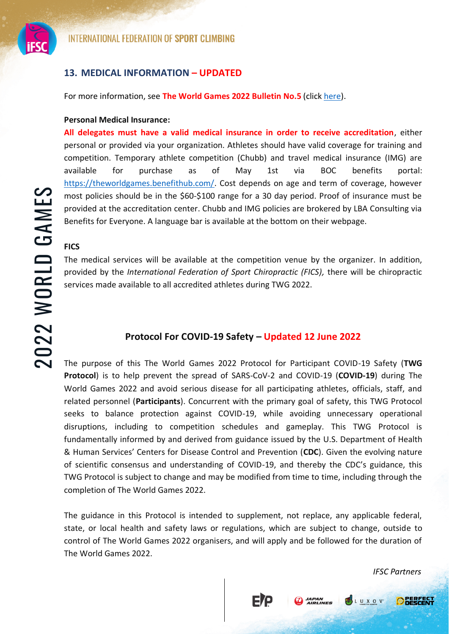

#### **13. MEDICAL INFORMATION – UPDATED**

For more information, see **The World Games 2022 Bulletin No.5** (click [here\)](https://www.theworldgames.org/files/wg2022/TWG%202022%20-%20Bulletin.pdf?1655720054).

#### **Personal Medical Insurance:**

**All delegates must have a valid medical insurance in order to receive accreditation**, either personal or provided via your organization. Athletes should have valid coverage for training and competition. Temporary athlete competition (Chubb) and travel medical insurance (IMG) are available for purchase as of May 1st via BOC benefits portal: [https://theworldgames.benefithub.com/.](https://theworldgames.benefithub.com/) Cost depends on age and term of coverage, however most policies should be in the \$60-\$100 range for a 30 day period. Proof of insurance must be provided at the accreditation center. Chubb and IMG policies are brokered by LBA Consulting via Benefits for Everyone. A language bar is available at the bottom on their webpage.

#### **FICS**

The medical services will be available at the competition venue by the organizer. In addition, provided by the *International Federation of Sport Chiropractic (FICS),* there will be chiropractic services made available to all accredited athletes during TWG 2022.

#### **Protocol For COVID-19 Safety – Updated 12 June 2022**

**EVENT THEST VENDENTIRENTS.** CONSIDENT CONDINSIBIT CONSIDENT THE DEVELONS THE CONSIDENT THE PARTNERS (SUPPRENT) AND THEST CONSIDENT THEST CONSIDENT THEST CONSIDER THE THEST CONSIDER THE THEST CONSIDER THE THE THE THE THE T The purpose of this The World Games 2022 Protocol for Participant COVID-19 Safety (**TWG Protocol**) is to help prevent the spread of SARS-CoV-2 and COVID-19 (**COVID-19**) during The World Games 2022 and avoid serious disease for all participating athletes, officials, staff, and related personnel (**Participants**). Concurrent with the primary goal of safety, this TWG Protocol seeks to balance protection against COVID-19, while avoiding unnecessary operational disruptions, including to competition schedules and gameplay. This TWG Protocol is fundamentally informed by and derived from guidance issued by the U.S. Department of Health & Human Services' Centers for Disease Control and Prevention (**CDC**). Given the evolving nature of scientific consensus and understanding of COVID-19, and thereby the CDC's guidance, this TWG Protocol is subject to change and may be modified from time to time, including through the completion of The World Games 2022.

The guidance in this Protocol is intended to supplement, not replace, any applicable federal, state, or local health and safety laws or regulations, which are subject to change, outside to control of The World Games 2022 organisers, and will apply and be followed for the duration of The World Games 2022.

FIP

**CO** JAPAN

**PSLUXOV** 

**OBERFECT**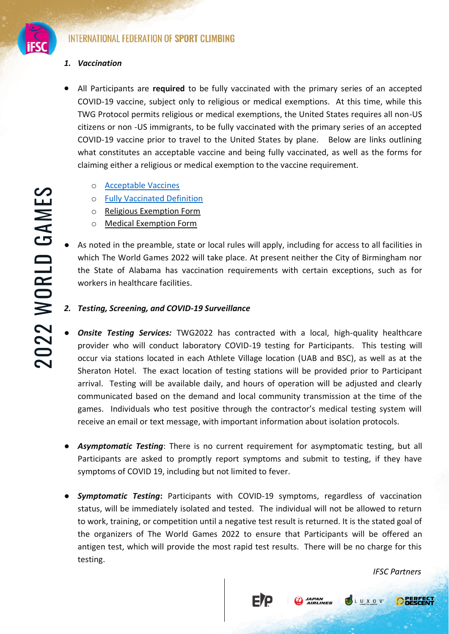

#### *1. Vaccination*

- All Participants are **required** to be fully vaccinated with the primary series of an accepted COVID-19 vaccine, subject only to religious or medical exemptions. At this time, while this TWG Protocol permits religious or medical exemptions, the United States requires all non-US citizens or non -US immigrants, to be fully vaccinated with the primary series of an accepted COVID-19 vaccine prior to travel to the United States by plane. Below are links outlining what constitutes an acceptable vaccine and being fully vaccinated, as well as the forms for claiming either a religious or medical exemption to the vaccine requirement.
	- o [Acceptable Vaccines](https://www.cdc.gov/coronavirus/2019-ncov/travelers/proof-of-vaccination.html#covid-vaccines)
	- o [Fully Vaccinated Definition](https://www.cdc.gov/coronavirus/2019-ncov/travelers/noncitizens-US-air-travel.html)
	- o Religious Exemption Form
	- o Medical Exemption Form
- As noted in the preamble, state or local rules will apply, including for access to all facilities in which The World Games 2022 will take place. At present neither the City of Birmingham nor the State of Alabama has vaccination requirements with certain exceptions, such as for workers in healthcare facilities.
- *2. Testing, Screening, and COVID-19 Surveillance*
- An a considered benefiction<br> **Exercuted Definition**<br> **Event Organiser Schemiston Form**<br> **Event Organiser Schemiston Form**<br> **Exercise Consider Schemiston Form**<br> **Exercise of Alabama has vaccination requirements with ce Onsite Testing Services:** TWG2022 has contracted with a local, high-quality healthcare provider who will conduct laboratory COVID-19 testing for Participants. This testing will occur via stations located in each Athlete Village location (UAB and BSC), as well as at the Sheraton Hotel. The exact location of testing stations will be provided prior to Participant arrival. Testing will be available daily, and hours of operation will be adjusted and clearly communicated based on the demand and local community transmission at the time of the games. Individuals who test positive through the contractor's medical testing system will receive an email or text message, with important information about isolation protocols.
	- Asymptomatic Testing: There is no current requirement for asymptomatic testing, but all Participants are asked to promptly report symptoms and submit to testing, if they have symptoms of COVID 19, including but not limited to fever.
	- **Symptomatic Testing:** Participants with COVID-19 symptoms, regardless of vaccination status, will be immediately isolated and tested. The individual will not be allowed to return to work, training, or competition until a negative test result is returned. It is the stated goal of the organizers of The World Games 2022 to ensure that Participants will be offered an antigen test, which will provide the most rapid test results. There will be no charge for this testing.

FIP

**CO** JAPAN

**PSLUXOV** 

**O DERFECT**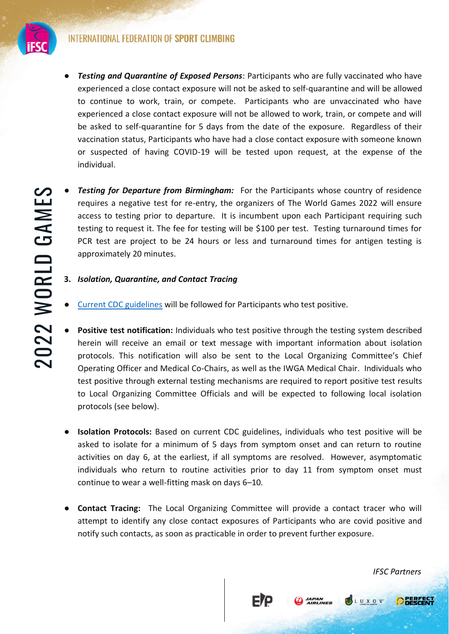

- **Testing and Quarantine of Exposed Persons**: Participants who are fully vaccinated who have experienced a close contact exposure will not be asked to self-quarantine and will be allowed to continue to work, train, or compete. Participants who are unvaccinated who have experienced a close contact exposure will not be allowed to work, train, or compete and will be asked to self-quarantine for 5 days from the date of the exposure. Regardless of their vaccination status, Participants who have had a close contact exposure with someone known or suspected of having COVID-19 will be tested upon request, at the expense of the individual.
- **Testing for Departure from Birmingham:** For the Participants whose country of residence requires a negative test for re-entry, the organizers of The World Games 2022 will ensure access to testing prior to departure. It is incumbent upon each Participant requiring such testing to request it. The fee for testing will be \$100 per test. Testing turnaround times for PCR test are project to be 24 hours or less and turnaround times for antigen testing is approximately 20 minutes.
	- **3.** *Isolation, Quarantine, and Contact Tracing*
	- [Current CDC guidelines](https://www.cdc.gov/coronavirus/2019-ncov/your-health/quarantine-isolation.html#:~:text=Stay%20home%20for%205%20days,Do%20not%20travel.&text=End%20isolation%20after%205%20full,and%20your%20symptoms%20are%20improving.) will be followed for Participants who test positive.
- **Enting for Departure from Birmingham:** For the Participants whose country of residence constants a negative test for re-entry, the organizer of the World Games 2022 will ensure access to testing prior to departure. It **Positive test notification:** Individuals who test positive through the testing system described herein will receive an email or text message with important information about isolation protocols. This notification will also be sent to the Local Organizing Committee's Chief Operating Officer and Medical Co-Chairs, as well as the IWGA Medical Chair. Individuals who test positive through external testing mechanisms are required to report positive test results to Local Organizing Committee Officials and will be expected to following local isolation protocols (see below).
	- **Isolation Protocols:** Based on current CDC guidelines, individuals who test positive will be asked to isolate for a minimum of 5 days from symptom onset and can return to routine activities on day 6, at the earliest, if all symptoms are resolved. However, asymptomatic individuals who return to routine activities prior to day 11 from symptom onset must continue to wear a well-fitting mask on days 6–10.
	- **Contact Tracing:** The Local Organizing Committee will provide a contact tracer who will attempt to identify any close contact exposures of Participants who are covid positive and notify such contacts, as soon as practicable in order to prevent further exposure.

FIP

*JAPAN<br>AIRLINES* 

**O REBEEC** 

**PSLUXOV**